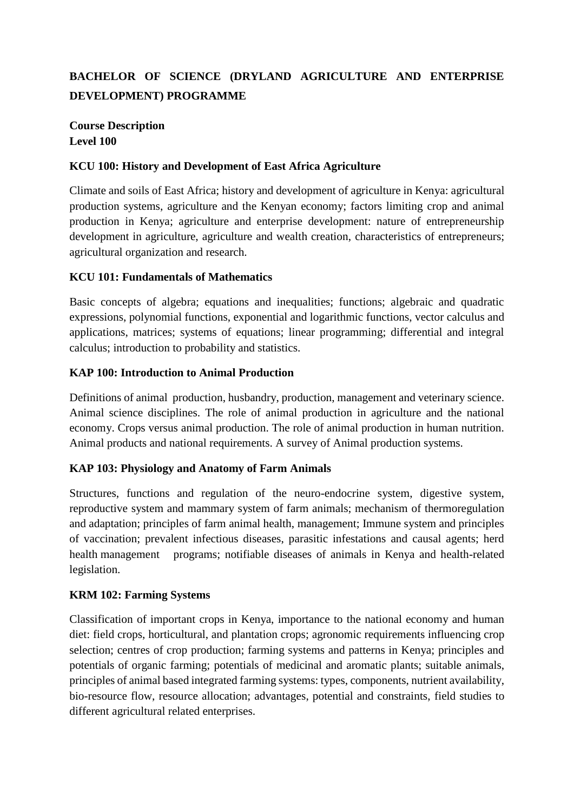# **BACHELOR OF SCIENCE (DRYLAND AGRICULTURE AND ENTERPRISE DEVELOPMENT) PROGRAMME**

## **Course Description Level 100**

### **KCU 100: History and Development of East Africa Agriculture**

Climate and soils of East Africa; history and development of agriculture in Kenya: agricultural production systems, agriculture and the Kenyan economy; factors limiting crop and animal production in Kenya; agriculture and enterprise development: nature of entrepreneurship development in agriculture, agriculture and wealth creation, characteristics of entrepreneurs; agricultural organization and research.

### **KCU 101: Fundamentals of Mathematics**

Basic concepts of algebra; equations and inequalities; functions; algebraic and quadratic expressions, polynomial functions, exponential and logarithmic functions, vector calculus and applications, matrices; systems of equations; linear programming; differential and integral calculus; introduction to probability and statistics.

#### **KAP 100: Introduction to Animal Production**

Definitions of animal production, husbandry, production, management and veterinary science. Animal science disciplines. The role of animal production in agriculture and the national economy. Crops versus animal production. The role of animal production in human nutrition. Animal products and national requirements. A survey of Animal production systems.

### **KAP 103: Physiology and Anatomy of Farm Animals**

Structures, functions and regulation of the neuro-endocrine system, digestive system, reproductive system and mammary system of farm animals; mechanism of thermoregulation and adaptation; principles of farm animal health, management; Immune system and principles of vaccination; prevalent infectious diseases, parasitic infestations and causal agents; herd health management programs; notifiable diseases of animals in Kenya and health-related legislation.

### **KRM 102: Farming Systems**

Classification of important crops in Kenya, importance to the national economy and human diet: field crops, horticultural, and plantation crops; agronomic requirements influencing crop selection; centres of crop production; farming systems and patterns in Kenya; principles and potentials of organic farming; potentials of medicinal and aromatic plants; suitable animals, principles of animal based integrated farming systems: types, components, nutrient availability, bio-resource flow, resource allocation; advantages, potential and constraints, field studies to different agricultural related enterprises.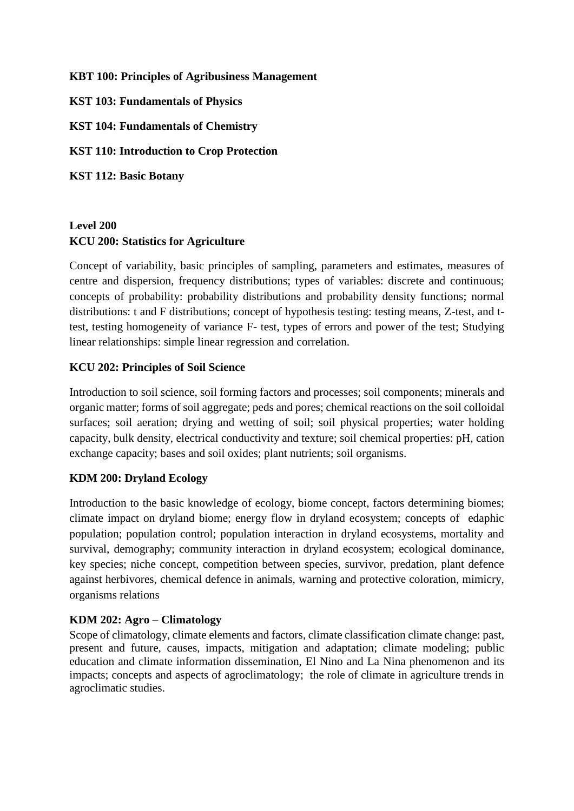#### **KBT 100: Principles of Agribusiness Management**

**KST 103: Fundamentals of Physics**

**KST 104: Fundamentals of Chemistry**

**KST 110: Introduction to Crop Protection** 

**KST 112: Basic Botany**

# **Level 200 KCU 200: Statistics for Agriculture**

Concept of variability, basic principles of sampling, parameters and estimates, measures of centre and dispersion, frequency distributions; types of variables: discrete and continuous; concepts of probability: probability distributions and probability density functions; normal distributions: t and F distributions; concept of hypothesis testing: testing means, Z-test, and ttest, testing homogeneity of variance F- test, types of errors and power of the test; Studying linear relationships: simple linear regression and correlation.

### **KCU 202: Principles of Soil Science**

Introduction to soil science, soil forming factors and processes; soil components; minerals and organic matter; forms of soil aggregate; peds and pores; chemical reactions on the soil colloidal surfaces; soil aeration; drying and wetting of soil; soil physical properties; water holding capacity, bulk density, electrical conductivity and texture; soil chemical properties: pH, cation exchange capacity; bases and soil oxides; plant nutrients; soil organisms.

### **KDM 200: Dryland Ecology**

Introduction to the basic knowledge of ecology, biome concept, factors determining biomes; climate impact on dryland biome; energy flow in dryland ecosystem; concepts of edaphic population; population control; population interaction in dryland ecosystems, mortality and survival, demography; community interaction in dryland ecosystem; ecological dominance, key species; niche concept, competition between species, survivor, predation, plant defence against herbivores, chemical defence in animals, warning and protective coloration, mimicry, organisms relations

### **KDM 202: Agro – Climatology**

Scope of climatology, climate elements and factors, climate classification climate change: past, present and future, causes, impacts, mitigation and adaptation; climate modeling; public education and climate information dissemination, El Nino and La Nina phenomenon and its impacts; concepts and aspects of agroclimatology; the role of climate in agriculture trends in agroclimatic studies.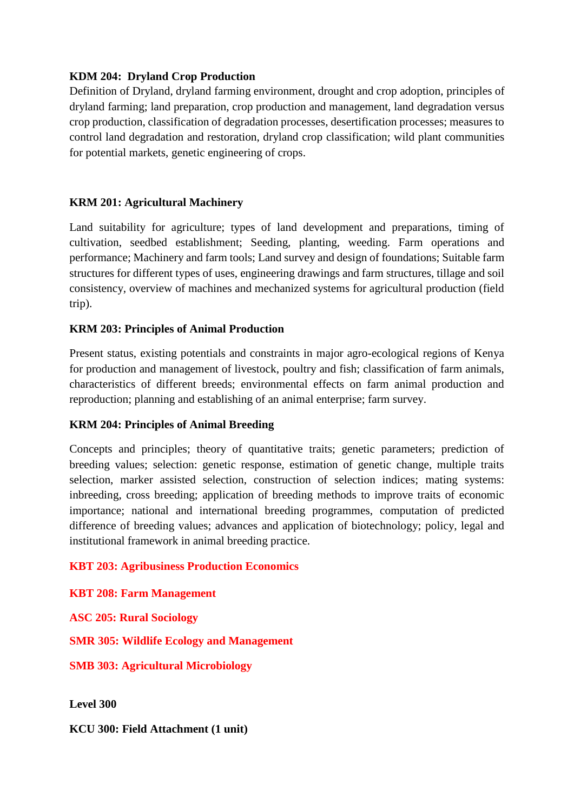### **KDM 204: Dryland Crop Production**

Definition of Dryland, dryland farming environment, drought and crop adoption, principles of dryland farming; land preparation, crop production and management, land degradation versus crop production, classification of degradation processes, desertification processes; measures to control land degradation and restoration, dryland crop classification; wild plant communities for potential markets, genetic engineering of crops.

### **KRM 201: Agricultural Machinery**

Land suitability for agriculture; types of land development and preparations, timing of cultivation, seedbed establishment; Seeding, planting, weeding. Farm operations and performance; Machinery and farm tools; Land survey and design of foundations; Suitable farm structures for different types of uses, engineering drawings and farm structures, tillage and soil consistency, overview of machines and mechanized systems for agricultural production (field trip).

#### **KRM 203: Principles of Animal Production**

Present status, existing potentials and constraints in major agro-ecological regions of Kenya for production and management of livestock, poultry and fish; classification of farm animals, characteristics of different breeds; environmental effects on farm animal production and reproduction; planning and establishing of an animal enterprise; farm survey.

### **KRM 204: Principles of Animal Breeding**

Concepts and principles; theory of quantitative traits; genetic parameters; prediction of breeding values; selection: genetic response, estimation of genetic change, multiple traits selection, marker assisted selection, construction of selection indices; mating systems: inbreeding, cross breeding; application of breeding methods to improve traits of economic importance; national and international breeding programmes, computation of predicted difference of breeding values; advances and application of biotechnology; policy, legal and institutional framework in animal breeding practice.

### **KBT 203: Agribusiness Production Economics**

**KBT 208: Farm Management** 

**ASC 205: Rural Sociology**

**SMR 305: Wildlife Ecology and Management**

**SMB 303: Agricultural Microbiology**

**Level 300**

**KCU 300: Field Attachment (1 unit)**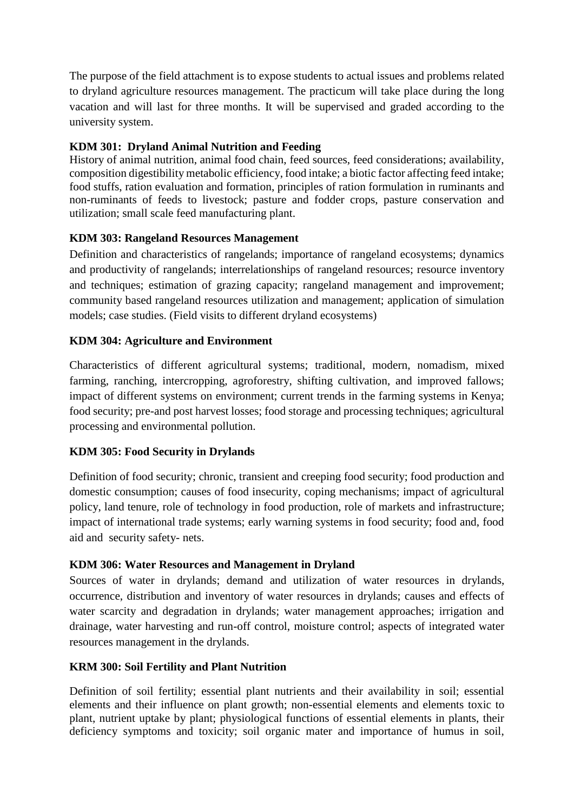The purpose of the field attachment is to expose students to actual issues and problems related to dryland agriculture resources management. The practicum will take place during the long vacation and will last for three months. It will be supervised and graded according to the university system.

## **KDM 301: Dryland Animal Nutrition and Feeding**

History of animal nutrition, animal food chain, feed sources, feed considerations; availability, composition digestibility metabolic efficiency, food intake; a biotic factor affecting feed intake; food stuffs, ration evaluation and formation, principles of ration formulation in ruminants and non-ruminants of feeds to livestock; pasture and fodder crops, pasture conservation and utilization; small scale feed manufacturing plant.

## **KDM 303: Rangeland Resources Management**

Definition and characteristics of rangelands; importance of rangeland ecosystems; dynamics and productivity of rangelands; interrelationships of rangeland resources; resource inventory and techniques; estimation of grazing capacity; rangeland management and improvement; community based rangeland resources utilization and management; application of simulation models; case studies. (Field visits to different dryland ecosystems)

### **KDM 304: Agriculture and Environment**

Characteristics of different agricultural systems; traditional, modern, nomadism, mixed farming, ranching, intercropping, agroforestry, shifting cultivation, and improved fallows; impact of different systems on environment; current trends in the farming systems in Kenya; food security; pre-and post harvest losses; food storage and processing techniques; agricultural processing and environmental pollution.

### **KDM 305: Food Security in Drylands**

Definition of food security; chronic, transient and creeping food security; food production and domestic consumption; causes of food insecurity, coping mechanisms; impact of agricultural policy, land tenure, role of technology in food production, role of markets and infrastructure; impact of international trade systems; early warning systems in food security; food and, food aid and security safety- nets.

### **KDM 306: Water Resources and Management in Dryland**

Sources of water in drylands; demand and utilization of water resources in drylands, occurrence, distribution and inventory of water resources in drylands; causes and effects of water scarcity and degradation in drylands; water management approaches; irrigation and drainage, water harvesting and run-off control, moisture control; aspects of integrated water resources management in the drylands.

### **KRM 300: Soil Fertility and Plant Nutrition**

Definition of soil fertility; essential plant nutrients and their availability in soil; essential elements and their influence on plant growth; non-essential elements and elements toxic to plant, nutrient uptake by plant; physiological functions of essential elements in plants, their deficiency symptoms and toxicity; soil organic mater and importance of humus in soil,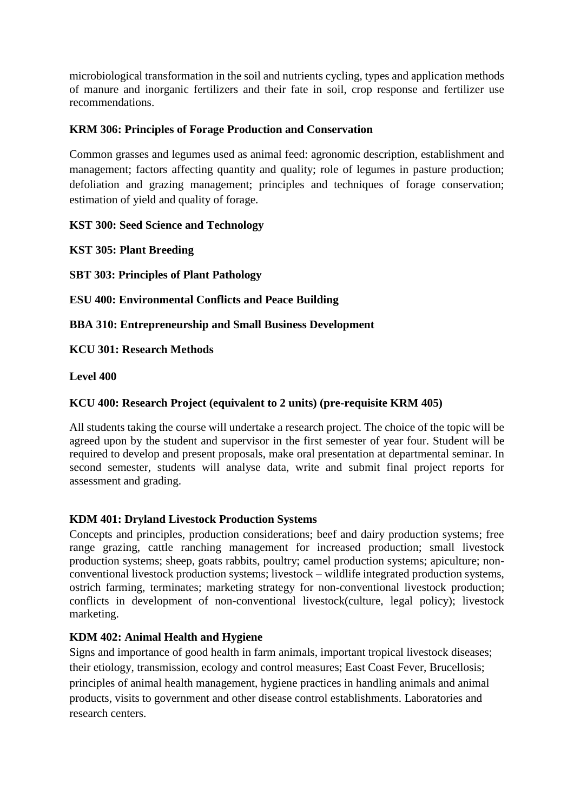microbiological transformation in the soil and nutrients cycling, types and application methods of manure and inorganic fertilizers and their fate in soil, crop response and fertilizer use recommendations.

## **KRM 306: Principles of Forage Production and Conservation**

Common grasses and legumes used as animal feed: agronomic description, establishment and management; factors affecting quantity and quality; role of legumes in pasture production; defoliation and grazing management; principles and techniques of forage conservation; estimation of yield and quality of forage.

**KST 300: Seed Science and Technology**

**KST 305: Plant Breeding**

**SBT 303: Principles of Plant Pathology** 

**ESU 400: Environmental Conflicts and Peace Building**

**BBA 310: Entrepreneurship and Small Business Development**

**KCU 301: Research Methods**

**Level 400**

## **KCU 400: Research Project (equivalent to 2 units) (pre-requisite KRM 405)**

All students taking the course will undertake a research project. The choice of the topic will be agreed upon by the student and supervisor in the first semester of year four. Student will be required to develop and present proposals, make oral presentation at departmental seminar. In second semester, students will analyse data, write and submit final project reports for assessment and grading.

### **KDM 401: Dryland Livestock Production Systems**

Concepts and principles, production considerations; beef and dairy production systems; free range grazing, cattle ranching management for increased production; small livestock production systems; sheep, goats rabbits, poultry; camel production systems; apiculture; nonconventional livestock production systems; livestock – wildlife integrated production systems, ostrich farming, terminates; marketing strategy for non-conventional livestock production; conflicts in development of non-conventional livestock(culture, legal policy); livestock marketing.

### **KDM 402: Animal Health and Hygiene**

Signs and importance of good health in farm animals, important tropical livestock diseases; their etiology, transmission, ecology and control measures; East Coast Fever, Brucellosis; principles of animal health management, hygiene practices in handling animals and animal products, visits to government and other disease control establishments. Laboratories and research centers.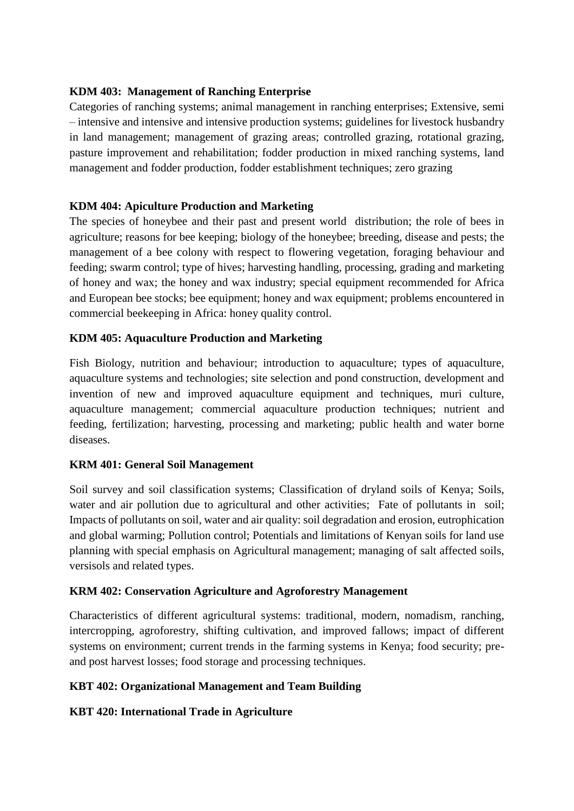#### **KDM 403: Management of Ranching Enterprise**

Categories of ranching systems; animal management in ranching enterprises; Extensive, semi – intensive and intensive and intensive production systems; guidelines for livestock husbandry in land management; management of grazing areas; controlled grazing, rotational grazing, pasture improvement and rehabilitation; fodder production in mixed ranching systems, land management and fodder production, fodder establishment techniques; zero grazing

### **KDM 404: Apiculture Production and Marketing**

The species of honeybee and their past and present world distribution; the role of bees in agriculture; reasons for bee keeping; biology of the honeybee; breeding, disease and pests; the management of a bee colony with respect to flowering vegetation, foraging behaviour and feeding; swarm control; type of hives; harvesting handling, processing, grading and marketing of honey and wax; the honey and wax industry; special equipment recommended for Africa and European bee stocks; bee equipment; honey and wax equipment; problems encountered in commercial beekeeping in Africa: honey quality control.

#### **KDM 405: Aquaculture Production and Marketing**

Fish Biology, nutrition and behaviour; introduction to aquaculture; types of aquaculture, aquaculture systems and technologies; site selection and pond construction, development and invention of new and improved aquaculture equipment and techniques, muri culture, aquaculture management; commercial aquaculture production techniques; nutrient and feeding, fertilization; harvesting, processing and marketing; public health and water borne diseases.

### **KRM 401: General Soil Management**

Soil survey and soil classification systems; Classification of dryland soils of Kenya; Soils, water and air pollution due to agricultural and other activities; Fate of pollutants in soil; Impacts of pollutants on soil, water and air quality: soil degradation and erosion, eutrophication and global warming; Pollution control; Potentials and limitations of Kenyan soils for land use planning with special emphasis on Agricultural management; managing of salt affected soils, versisols and related types.

### **KRM 402: Conservation Agriculture and Agroforestry Management**

Characteristics of different agricultural systems: traditional, modern, nomadism, ranching, intercropping, agroforestry, shifting cultivation, and improved fallows; impact of different systems on environment; current trends in the farming systems in Kenya; food security; preand post harvest losses; food storage and processing techniques.

### **KBT 402: Organizational Management and Team Building**

### **KBT 420: International Trade in Agriculture**